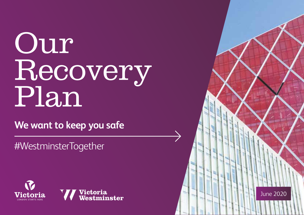### Our Recovery Plan

**We want to keep you safe**

#WestminsterTogether





June 2020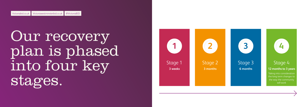Our recovery plan is phased into four key stages.

### Stage 4

#### **12 months to 3 years**



Taking into consideration the long term changes to the way the community will work



#### Stage 3 **6 months**

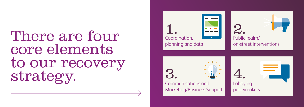## There are four core elements to our recovery strategy.

Communications and Marketing/Business Support

Coordination, planning and data 1.



### Public realm/ on-street interventions 2.

### Lobbying policymakers 4.

3.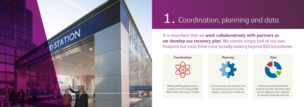

### 1. Coordination, planning and data

It is important that we **work collaboratively with partners as we develop our recovery plan**. We cannot simply look at our own footprint but must think more broadly looking beyond BID boundaries.



Working with key partners across London such as TfL, Network Rail, Westminster City Council, The GLA

# **Planning**

Commissioning new research over the phased recovery (economic analysis and business resilience)



# **Data**

Gathering important data from business members and latest public opinion polling to inform appetite to use public transport and work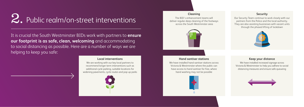### $2.$  Public realm/on-street interventions

It is crucial the South Westminster BIDs work with partners to **ensure our footprint is as safe, clean, welcoming** and accommodating to social distancing as possible. Here are a number of ways we are  $^\prime$ helping to keep you safe:

#### **Cleaning**

The BID's enhancement teams will deliver regular deep cleaning of the footways across the South Westminster area



#### **Keep your distance**

We have installed increased signage across Victoria & Westminster to help you adhere to social distancing measures and ensure safe queueing



#### **Security**

Our Security Team continue to work closely with our partners from the Police and the local authority. They are also assisting businesses with vacant units through the phased lifting of lockdown



#### **Hand santiser stations**

We have installed hand santiser stations across Victoria & Westminster where the public can have access to hand santiser for free, where hand washing may not be possible



#### **Local interventions**

We are working with our key local partners to recommend longer term interventions such as additional cycle parking, suitable locations for widening pavements, cycle routes and pop up parks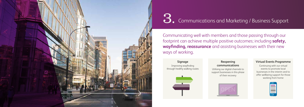

# 3. Communications and Marketing / Business Support

Communicating well with members and those passing through our footprint can achieve multiple positive outcomes; including **safety, wayfinding, reassurance** and assisting businesses with their new ways of working.

#### **Signage**

Improving wayfinding through healthy walking routes



#### **Reopening communications**

Utilising our digital channels to support businesses in this phase of their recovery

#### **Virtual Events Programme**

Continuing with our virtual events to promote local businesses in the interim and to offer wellbeing support for those working from home



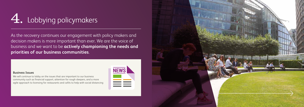### 4. Lobbying policymakers

As the recovery continues our engagement with policy makers and decision makers is more important than ever. We are the voice of business and we want to be **actively championing the needs and priorities of our business communities**.

#### **Business Issues**

We will continue to lobby on the issues that are important to our business community such as financial support, attention for rough sleepers, and a more agile approach to licensing for restaurants and cafés to help with social distancing



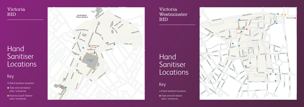

- **Hand sanitiser locations**
- **•** Tube and rail station exits / entrances



### Hand Sanitiser **Locations**

- **Hand sanitiser locations**
- **•** Tube and rail station exits / entrances
- Victoria Coach Station exits / entrances

#### Victoria Westminster BID

## .<br>Hand Sanitiser Locations

#### Key



#### Victoria BID